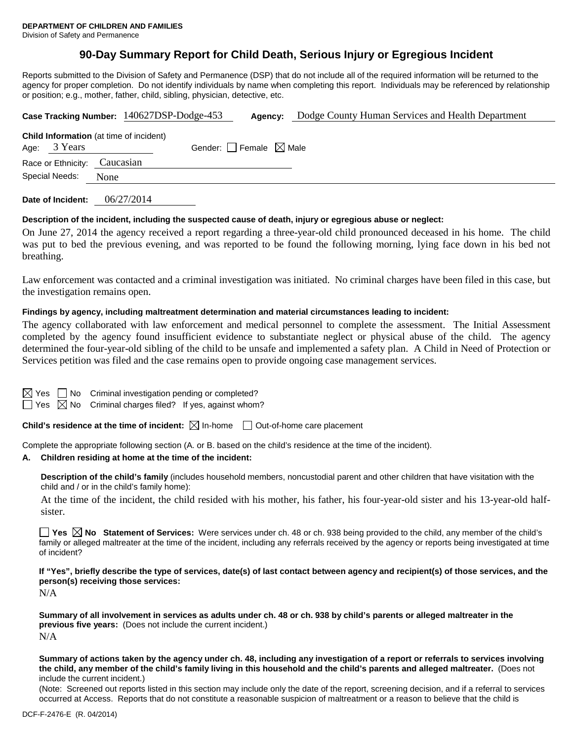Division of Safety and Permanence

# **90-Day Summary Report for Child Death, Serious Injury or Egregious Incident**

Reports submitted to the Division of Safety and Permanence (DSP) that do not include all of the required information will be returned to the agency for proper completion. Do not identify individuals by name when completing this report. Individuals may be referenced by relationship or position; e.g., mother, father, child, sibling, physician, detective, etc.

| Case Tracking Number: 140627DSP-Dodge-453 |                                                |      |                                             |                                 | Agency: | Dodge County Human Services and Health Department |  |  |  |  |
|-------------------------------------------|------------------------------------------------|------|---------------------------------------------|---------------------------------|---------|---------------------------------------------------|--|--|--|--|
|                                           | <b>Child Information</b> (at time of incident) |      |                                             | Gender: Female $\boxtimes$ Male |         |                                                   |  |  |  |  |
|                                           | Age: 3 Years                                   |      |                                             |                                 |         |                                                   |  |  |  |  |
| Race or Ethnicity: Caucasian              |                                                |      |                                             |                                 |         |                                                   |  |  |  |  |
| Special Needs:                            |                                                | None |                                             |                                 |         |                                                   |  |  |  |  |
|                                           |                                                |      | $0 \leq 1$ $\sqrt{2}$ $\sqrt{2}$ $\sqrt{2}$ |                                 |         |                                                   |  |  |  |  |

**Date of Incident:** 06/27/2014

#### **Description of the incident, including the suspected cause of death, injury or egregious abuse or neglect:**

On June 27, 2014 the agency received a report regarding a three-year-old child pronounced deceased in his home. The child was put to bed the previous evening, and was reported to be found the following morning, lying face down in his bed not breathing.

Law enforcement was contacted and a criminal investigation was initiated. No criminal charges have been filed in this case, but the investigation remains open.

#### **Findings by agency, including maltreatment determination and material circumstances leading to incident:**

The agency collaborated with law enforcement and medical personnel to complete the assessment. The Initial Assessment completed by the agency found insufficient evidence to substantiate neglect or physical abuse of the child. The agency determined the four-year-old sibling of the child to be unsafe and implemented a safety plan. A Child in Need of Protection or Services petition was filed and the case remains open to provide ongoing case management services.

| $\boxtimes$ Yes $\Box$ No Criminal investigation pending or completed?  |  |  |  |  |  |  |
|-------------------------------------------------------------------------|--|--|--|--|--|--|
| $\Box$ Yes $\boxtimes$ No Criminal charges filed? If yes, against whom? |  |  |  |  |  |  |

**Child's residence at the time of incident:**  $\boxtimes$  In-home  $\Box$  Out-of-home care placement

Complete the appropriate following section (A. or B. based on the child's residence at the time of the incident).

#### **A. Children residing at home at the time of the incident:**

**Description of the child's family** (includes household members, noncustodial parent and other children that have visitation with the child and / or in the child's family home):

At the time of the incident, the child resided with his mother, his father, his four-year-old sister and his 13-year-old halfsister.

**Yes No Statement of Services:** Were services under ch. 48 or ch. 938 being provided to the child, any member of the child's family or alleged maltreater at the time of the incident, including any referrals received by the agency or reports being investigated at time of incident?

**If "Yes", briefly describe the type of services, date(s) of last contact between agency and recipient(s) of those services, and the person(s) receiving those services:**

N/A

**Summary of all involvement in services as adults under ch. 48 or ch. 938 by child's parents or alleged maltreater in the previous five years:** (Does not include the current incident.) N/A

**Summary of actions taken by the agency under ch. 48, including any investigation of a report or referrals to services involving the child, any member of the child's family living in this household and the child's parents and alleged maltreater.** (Does not include the current incident.)

(Note: Screened out reports listed in this section may include only the date of the report, screening decision, and if a referral to services occurred at Access. Reports that do not constitute a reasonable suspicion of maltreatment or a reason to believe that the child is